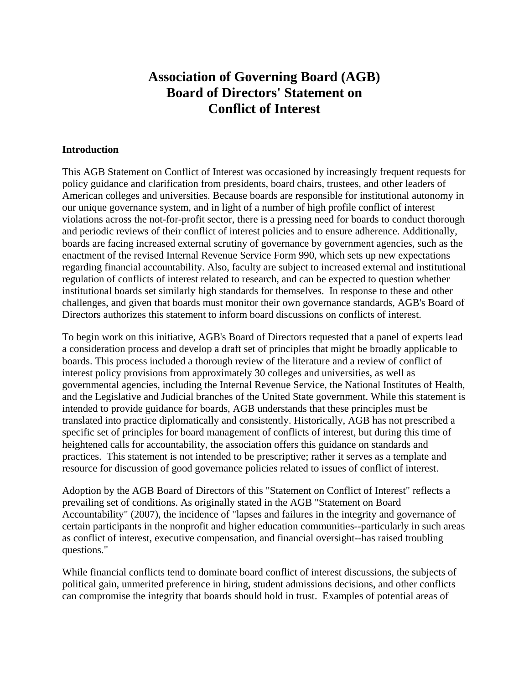# **Association of Governing Board (AGB) Board of Directors' Statement on Conflict of Interest**

#### **Introduction**

This AGB Statement on Conflict of Interest was occasioned by increasingly frequent requests for policy guidance and clarification from presidents, board chairs, trustees, and other leaders of American colleges and universities. Because boards are responsible for institutional autonomy in our unique governance system, and in light of a number of high profile conflict of interest violations across the not-for-profit sector, there is a pressing need for boards to conduct thorough and periodic reviews of their conflict of interest policies and to ensure adherence. Additionally, boards are facing increased external scrutiny of governance by government agencies, such as the enactment of the revised Internal Revenue Service Form 990, which sets up new expectations regarding financial accountability. Also, faculty are subject to increased external and institutional regulation of conflicts of interest related to research, and can be expected to question whether institutional boards set similarly high standards for themselves. In response to these and other challenges, and given that boards must monitor their own governance standards, AGB's Board of Directors authorizes this statement to inform board discussions on conflicts of interest.

To begin work on this initiative, AGB's Board of Directors requested that a panel of experts lead a consideration process and develop a draft set of principles that might be broadly applicable to boards. This process included a thorough review of the literature and a review of conflict of interest policy provisions from approximately 30 colleges and universities, as well as governmental agencies, including the Internal Revenue Service, the National Institutes of Health, and the Legislative and Judicial branches of the United State government. While this statement is intended to provide guidance for boards, AGB understands that these principles must be translated into practice diplomatically and consistently. Historically, AGB has not prescribed a specific set of principles for board management of conflicts of interest, but during this time of heightened calls for accountability, the association offers this guidance on standards and practices. This statement is not intended to be prescriptive; rather it serves as a template and resource for discussion of good governance policies related to issues of conflict of interest.

Adoption by the AGB Board of Directors of this "Statement on Conflict of Interest" reflects a prevailing set of conditions. As originally stated in the AGB "Statement on Board Accountability" (2007), the incidence of "lapses and failures in the integrity and governance of certain participants in the nonprofit and higher education communities--particularly in such areas as conflict of interest, executive compensation, and financial oversight--has raised troubling questions."

While financial conflicts tend to dominate board conflict of interest discussions, the subjects of political gain, unmerited preference in hiring, student admissions decisions, and other conflicts can compromise the integrity that boards should hold in trust. Examples of potential areas of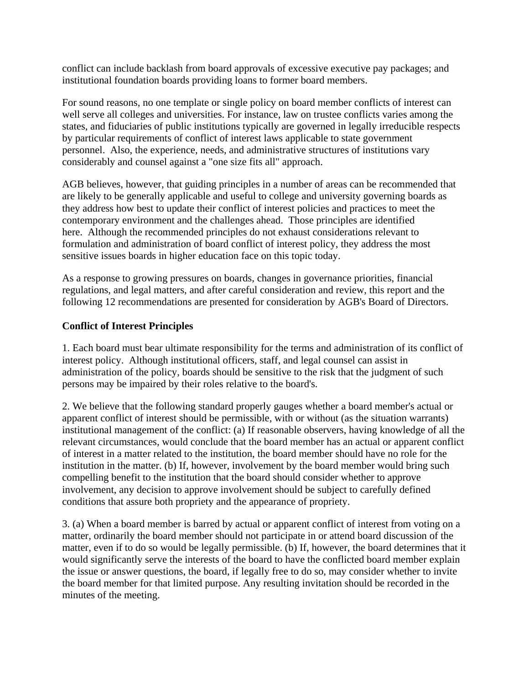conflict can include backlash from board approvals of excessive executive pay packages; and institutional foundation boards providing loans to former board members.

For sound reasons, no one template or single policy on board member conflicts of interest can well serve all colleges and universities. For instance, law on trustee conflicts varies among the states, and fiduciaries of public institutions typically are governed in legally irreducible respects by particular requirements of conflict of interest laws applicable to state government personnel. Also, the experience, needs, and administrative structures of institutions vary considerably and counsel against a "one size fits all" approach.

AGB believes, however, that guiding principles in a number of areas can be recommended that are likely to be generally applicable and useful to college and university governing boards as they address how best to update their conflict of interest policies and practices to meet the contemporary environment and the challenges ahead. Those principles are identified here. Although the recommended principles do not exhaust considerations relevant to formulation and administration of board conflict of interest policy, they address the most sensitive issues boards in higher education face on this topic today.

As a response to growing pressures on boards, changes in governance priorities, financial regulations, and legal matters, and after careful consideration and review, this report and the following 12 recommendations are presented for consideration by AGB's Board of Directors.

### **Conflict of Interest Principles**

1. Each board must bear ultimate responsibility for the terms and administration of its conflict of interest policy. Although institutional officers, staff, and legal counsel can assist in administration of the policy, boards should be sensitive to the risk that the judgment of such persons may be impaired by their roles relative to the board's.

2. We believe that the following standard properly gauges whether a board member's actual or apparent conflict of interest should be permissible, with or without (as the situation warrants) institutional management of the conflict: (a) If reasonable observers, having knowledge of all the relevant circumstances, would conclude that the board member has an actual or apparent conflict of interest in a matter related to the institution, the board member should have no role for the institution in the matter. (b) If, however, involvement by the board member would bring such compelling benefit to the institution that the board should consider whether to approve involvement, any decision to approve involvement should be subject to carefully defined conditions that assure both propriety and the appearance of propriety.

3. (a) When a board member is barred by actual or apparent conflict of interest from voting on a matter, ordinarily the board member should not participate in or attend board discussion of the matter, even if to do so would be legally permissible. (b) If, however, the board determines that it would significantly serve the interests of the board to have the conflicted board member explain the issue or answer questions, the board, if legally free to do so, may consider whether to invite the board member for that limited purpose. Any resulting invitation should be recorded in the minutes of the meeting.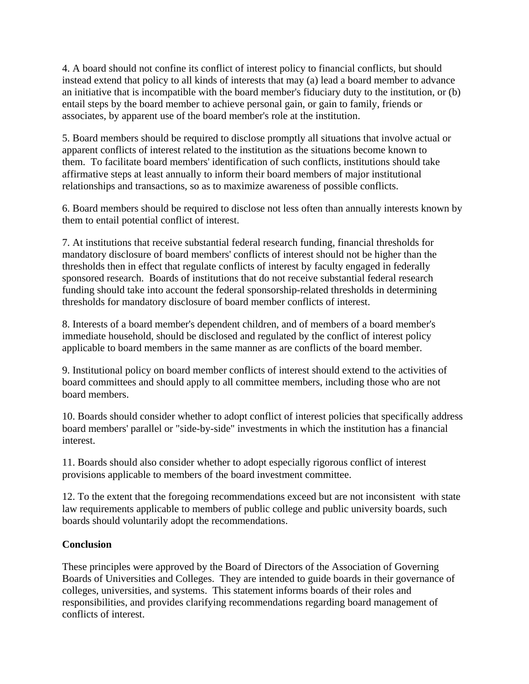4. A board should not confine its conflict of interest policy to financial conflicts, but should instead extend that policy to all kinds of interests that may (a) lead a board member to advance an initiative that is incompatible with the board member's fiduciary duty to the institution, or (b) entail steps by the board member to achieve personal gain, or gain to family, friends or associates, by apparent use of the board member's role at the institution.

5. Board members should be required to disclose promptly all situations that involve actual or apparent conflicts of interest related to the institution as the situations become known to them. To facilitate board members' identification of such conflicts, institutions should take affirmative steps at least annually to inform their board members of major institutional relationships and transactions, so as to maximize awareness of possible conflicts.

6. Board members should be required to disclose not less often than annually interests known by them to entail potential conflict of interest.

7. At institutions that receive substantial federal research funding, financial thresholds for mandatory disclosure of board members' conflicts of interest should not be higher than the thresholds then in effect that regulate conflicts of interest by faculty engaged in federally sponsored research. Boards of institutions that do not receive substantial federal research funding should take into account the federal sponsorship-related thresholds in determining thresholds for mandatory disclosure of board member conflicts of interest.

8. Interests of a board member's dependent children, and of members of a board member's immediate household, should be disclosed and regulated by the conflict of interest policy applicable to board members in the same manner as are conflicts of the board member.

9. Institutional policy on board member conflicts of interest should extend to the activities of board committees and should apply to all committee members, including those who are not board members.

10. Boards should consider whether to adopt conflict of interest policies that specifically address board members' parallel or "side-by-side" investments in which the institution has a financial interest.

11. Boards should also consider whether to adopt especially rigorous conflict of interest provisions applicable to members of the board investment committee.

12. To the extent that the foregoing recommendations exceed but are not inconsistent with state law requirements applicable to members of public college and public university boards, such boards should voluntarily adopt the recommendations.

## **Conclusion**

These principles were approved by the Board of Directors of the Association of Governing Boards of Universities and Colleges. They are intended to guide boards in their governance of colleges, universities, and systems. This statement informs boards of their roles and responsibilities, and provides clarifying recommendations regarding board management of conflicts of interest.